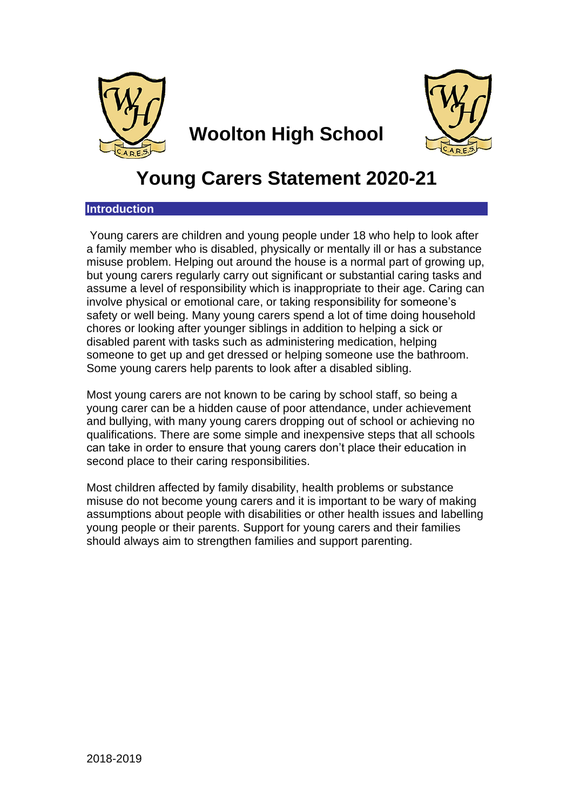

**Woolton High School**



# **Young Carers Statement 2020-21**

# **Introduction**

Young carers are children and young people under 18 who help to look after a family member who is disabled, physically or mentally ill or has a substance misuse problem. Helping out around the house is a normal part of growing up, but young carers regularly carry out significant or substantial caring tasks and assume a level of responsibility which is inappropriate to their age. Caring can involve physical or emotional care, or taking responsibility for someone's safety or well being. Many young carers spend a lot of time doing household chores or looking after younger siblings in addition to helping a sick or disabled parent with tasks such as administering medication, helping someone to get up and get dressed or helping someone use the bathroom. Some young carers help parents to look after a disabled sibling.

Most young carers are not known to be caring by school staff, so being a young carer can be a hidden cause of poor attendance, under achievement and bullying, with many young carers dropping out of school or achieving no qualifications. There are some simple and inexpensive steps that all schools can take in order to ensure that young carers don't place their education in second place to their caring responsibilities.

Most children affected by family disability, health problems or substance misuse do not become young carers and it is important to be wary of making assumptions about people with disabilities or other health issues and labelling young people or their parents. Support for young carers and their families should always aim to strengthen families and support parenting.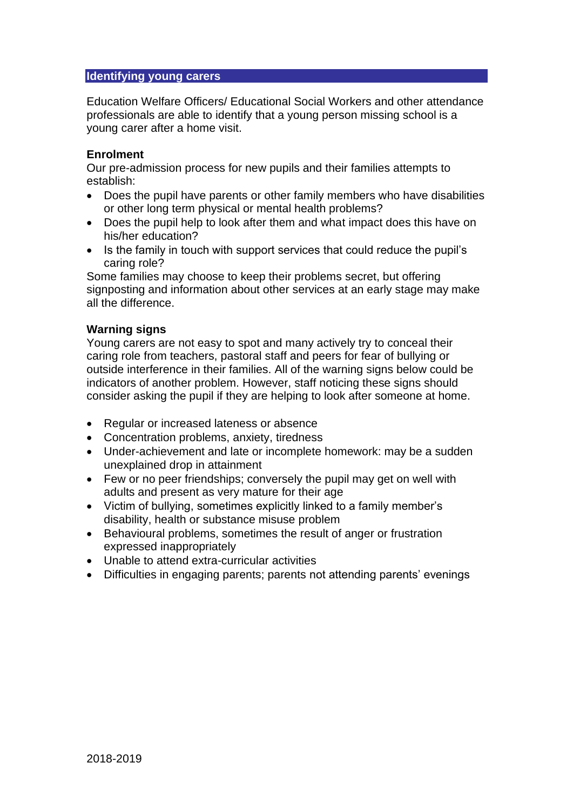## **Identifying young carers**

Education Welfare Officers/ Educational Social Workers and other attendance professionals are able to identify that a young person missing school is a young carer after a home visit.

## **Enrolment**

Our pre-admission process for new pupils and their families attempts to establish:

- Does the pupil have parents or other family members who have disabilities or other long term physical or mental health problems?
- Does the pupil help to look after them and what impact does this have on his/her education?
- Is the family in touch with support services that could reduce the pupil's caring role?

Some families may choose to keep their problems secret, but offering signposting and information about other services at an early stage may make all the difference.

# **Warning signs**

Young carers are not easy to spot and many actively try to conceal their caring role from teachers, pastoral staff and peers for fear of bullying or outside interference in their families. All of the warning signs below could be indicators of another problem. However, staff noticing these signs should consider asking the pupil if they are helping to look after someone at home.

- Regular or increased lateness or absence
- Concentration problems, anxiety, tiredness
- Under-achievement and late or incomplete homework: may be a sudden unexplained drop in attainment
- Few or no peer friendships; conversely the pupil may get on well with adults and present as very mature for their age
- Victim of bullying, sometimes explicitly linked to a family member's disability, health or substance misuse problem
- Behavioural problems, sometimes the result of anger or frustration expressed inappropriately
- Unable to attend extra-curricular activities
- Difficulties in engaging parents; parents not attending parents' evenings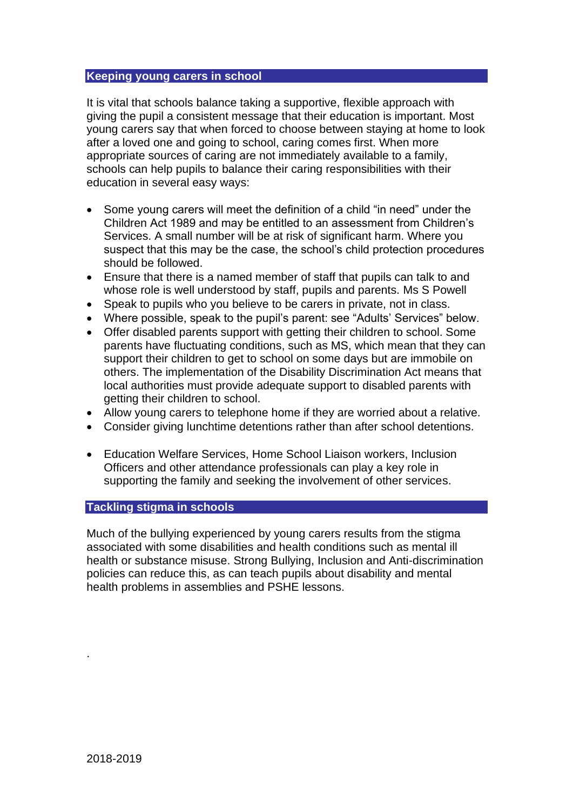### **Keeping young carers in school**

It is vital that schools balance taking a supportive, flexible approach with giving the pupil a consistent message that their education is important. Most young carers say that when forced to choose between staying at home to look after a loved one and going to school, caring comes first. When more appropriate sources of caring are not immediately available to a family, schools can help pupils to balance their caring responsibilities with their education in several easy ways:

- Some young carers will meet the definition of a child "in need" under the Children Act 1989 and may be entitled to an assessment from Children's Services. A small number will be at risk of significant harm. Where you suspect that this may be the case, the school's child protection procedures should be followed.
- Ensure that there is a named member of staff that pupils can talk to and whose role is well understood by staff, pupils and parents. Ms S Powell
- Speak to pupils who you believe to be carers in private, not in class.
- Where possible, speak to the pupil's parent: see "Adults' Services" below.
- Offer disabled parents support with getting their children to school. Some parents have fluctuating conditions, such as MS, which mean that they can support their children to get to school on some days but are immobile on others. The implementation of the Disability Discrimination Act means that local authorities must provide adequate support to disabled parents with getting their children to school.
- Allow young carers to telephone home if they are worried about a relative.
- Consider giving lunchtime detentions rather than after school detentions.
- Education Welfare Services, Home School Liaison workers, Inclusion Officers and other attendance professionals can play a key role in supporting the family and seeking the involvement of other services.

# **Tackling stigma in schools**

Much of the bullying experienced by young carers results from the stigma associated with some disabilities and health conditions such as mental ill health or substance misuse. Strong Bullying, Inclusion and Anti-discrimination policies can reduce this, as can teach pupils about disability and mental health problems in assemblies and PSHE lessons.

.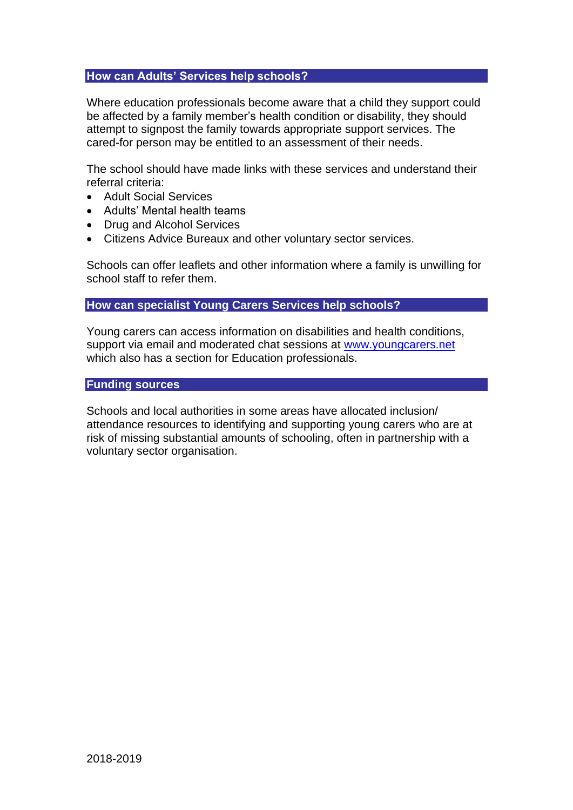### **How can Adults' Services help schools?**

Where education professionals become aware that a child they support could be affected by a family member's health condition or disability, they should attempt to signpost the family towards appropriate support services. The cared-for person may be entitled to an assessment of their needs.

The school should have made links with these services and understand their referral criteria:

- Adult Social Services
- Adults' Mental health teams
- Drug and Alcohol Services
- Citizens Advice Bureaux and other voluntary sector services.

Schools can offer leaflets and other information where a family is unwilling for school staff to refer them.

### **How can specialist Young Carers Services help schools?**

Young carers can access information on disabilities and health conditions, support via email and moderated chat sessions at [www.youngcarers.net](https://mail.carers.org/exchweb/bin/redir.asp?URL=http://www.youngcarers.net/) which also has a section for Education professionals.

## **Funding sources**

Schools and local authorities in some areas have allocated inclusion/ attendance resources to identifying and supporting young carers who are at risk of missing substantial amounts of schooling, often in partnership with a voluntary sector organisation.